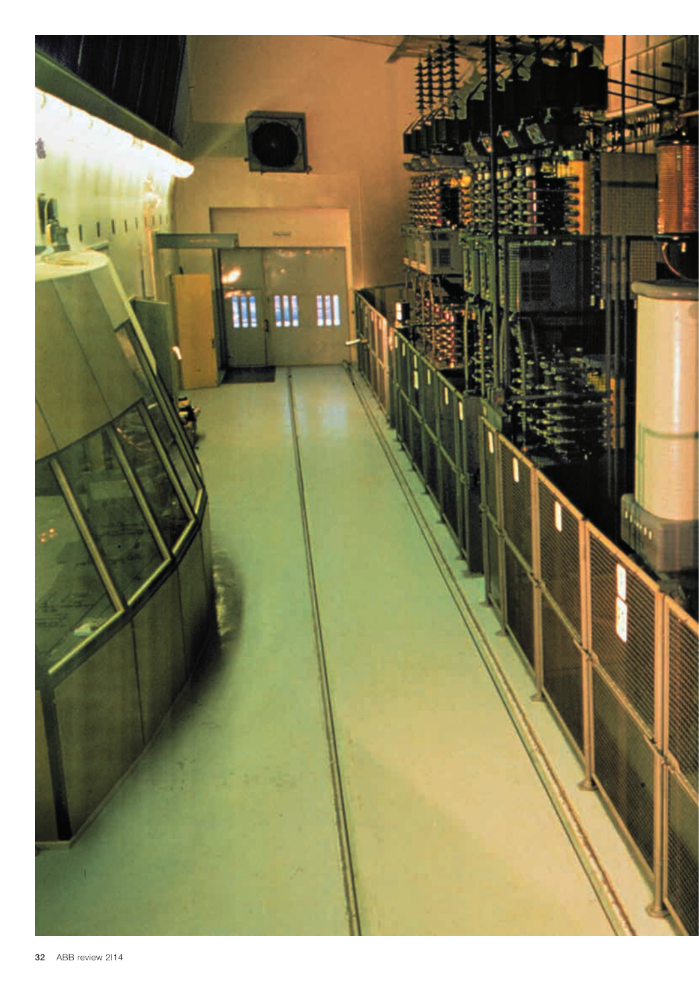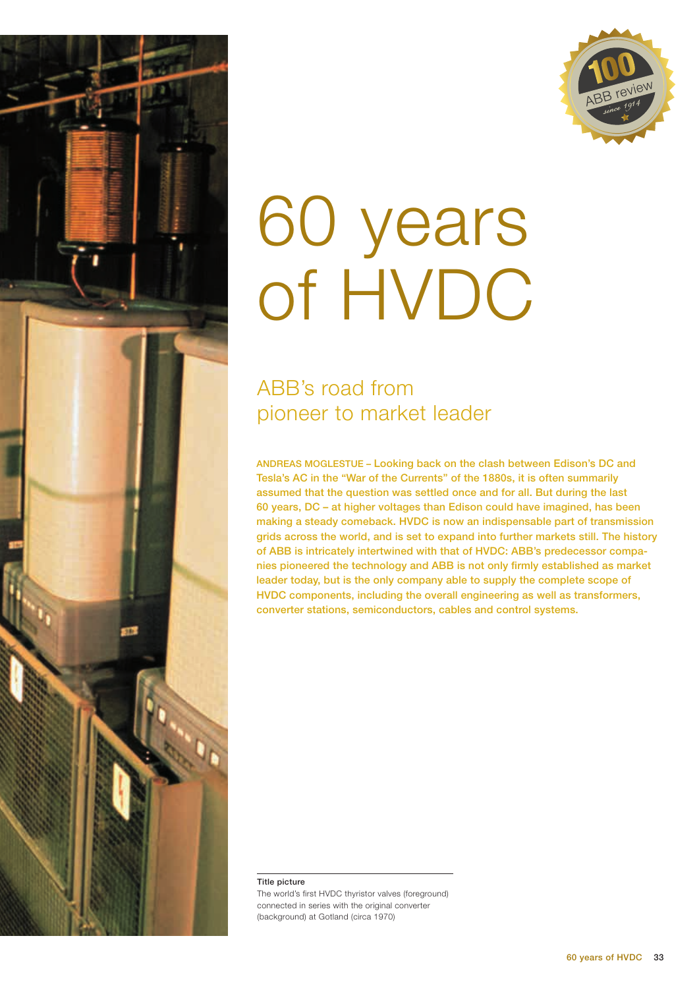

# 60 years of HVDC

## ABB's road from pioneer to market leader

ANDREAS MOGLESTUE – Looking back on the clash between Edison's DC and Tesla's AC in the "War of the Currents" of the 1880s, it is often summarily assumed that the question was settled once and for all. But during the last 60 years, DC – at higher voltages than Edison could have imagined, has been making a steady comeback. HVDC is now an indispensable part of transmission grids across the world, and is set to expand into further markets still. The history of ABB is intricately intertwined with that of HVDC: ABB's predecessor companies pioneered the technology and ABB is not only firmly established as market leader today, but is the only company able to supply the complete scope of HVDC components, including the overall engineering as well as transformers, converter stations, semiconductors, cables and control systems.

Title picture The world's first HVDC thyristor valves (foreground) connected in series with the original converter (background) at Gotland (circa 1970)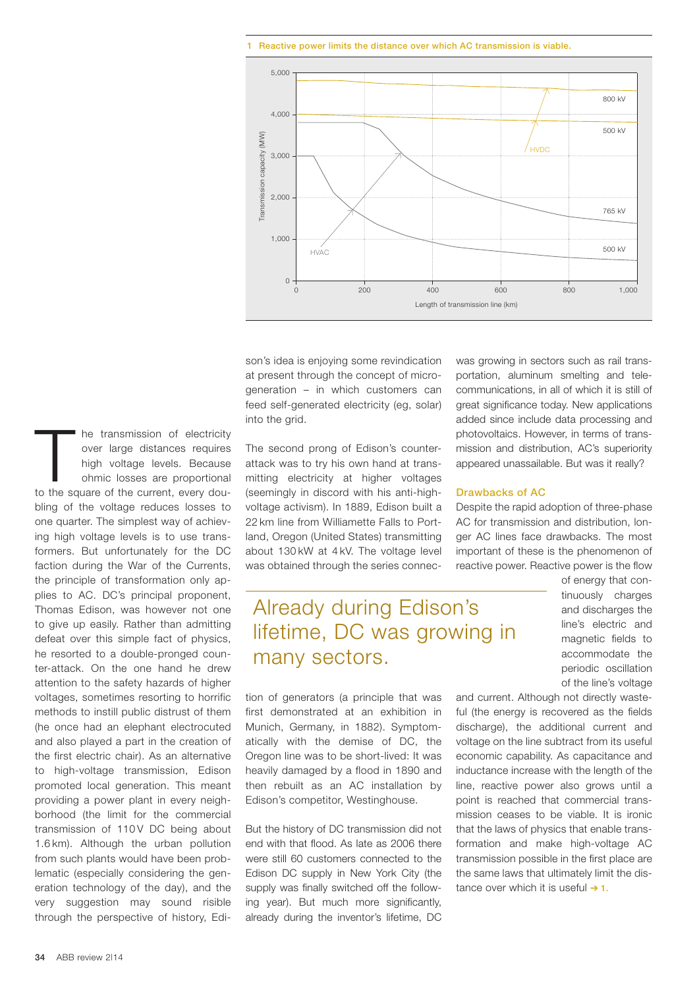

son's idea is enjoying some revindication at present through the concept of microgeneration – in which customers can feed self-generated electricity (eg, solar) into the grid.

The second prong of Edison's counterattack was to try his own hand at transmitting electricity at higher voltages (seemingly in discord with his anti-highvoltage activism). In 1889, Edison built a 22 km line from Williamette Falls to Portland, Oregon (United States) transmitting about 130 kW at 4 kV. The voltage level was obtained through the series connec-

## Already during Edison's lifetime, DC was growing in many sectors.

portation, aluminum smelting and telecommunications, in all of which it is still of great significance today. New applications added since include data processing and photovoltaics. However, in terms of transmission and distribution, AC's superiority appeared unassailable. But was it really?

was growing in sectors such as rail trans-

## Drawbacks of AC

Despite the rapid adoption of three-phase AC for transmission and distribution, longer AC lines face drawbacks. The most important of these is the phenomenon of reactive power. Reactive power is the flow

> of energy that continuously charges and discharges the line's electric and magnetic fields to accommodate the periodic oscillation of the line's voltage

tion of generators (a principle that was first demonstrated at an exhibition in Munich, Germany, in 1882). Symptomatically with the demise of DC, the Oregon line was to be short-lived: It was heavily damaged by a flood in 1890 and then rebuilt as an AC installation by Edison's competitor, Westinghouse.

But the history of DC transmission did not end with that flood. As late as 2006 there were still 60 customers connected to the Edison DC supply in New York City (the supply was finally switched off the following year). But much more significantly, already during the inventor's lifetime, DC

and current. Although not directly wasteful (the energy is recovered as the fields discharge), the additional current and voltage on the line subtract from its useful economic capability. As capacitance and inductance increase with the length of the line, reactive power also grows until a point is reached that commercial transmission ceases to be viable. It is ironic that the laws of physics that enable transformation and make high-voltage AC transmission possible in the first place are the same laws that ultimately limit the distance over which it is useful  $\rightarrow$  1.

he transmission of electricity over large distances requires high voltage levels. Because ohmic losses are proportional to the square of the current, every doubling of the voltage reduces losses to one quarter. The simplest way of achieving high voltage levels is to use transformers. But unfortunately for the DC faction during the War of the Currents, the principle of transformation only applies to AC. DC's principal proponent, Thomas Edison, was however not one to give up easily. Rather than admitting defeat over this simple fact of physics, he resorted to a double-pronged counter-attack. On the one hand he drew attention to the safety hazards of higher voltages, sometimes resorting to horrific methods to instill public distrust of them (he once had an elephant electrocuted and also played a part in the creation of the first electric chair). As an alternative to high-voltage transmission, Edison promoted local generation. This meant providing a power plant in every neighborhood (the limit for the commercial transmission of 110V DC being about 1.6 km). Although the urban pollution from such plants would have been problematic (especially considering the generation technology of the day), and the very suggestion may sound risible through the perspective of history, Edi-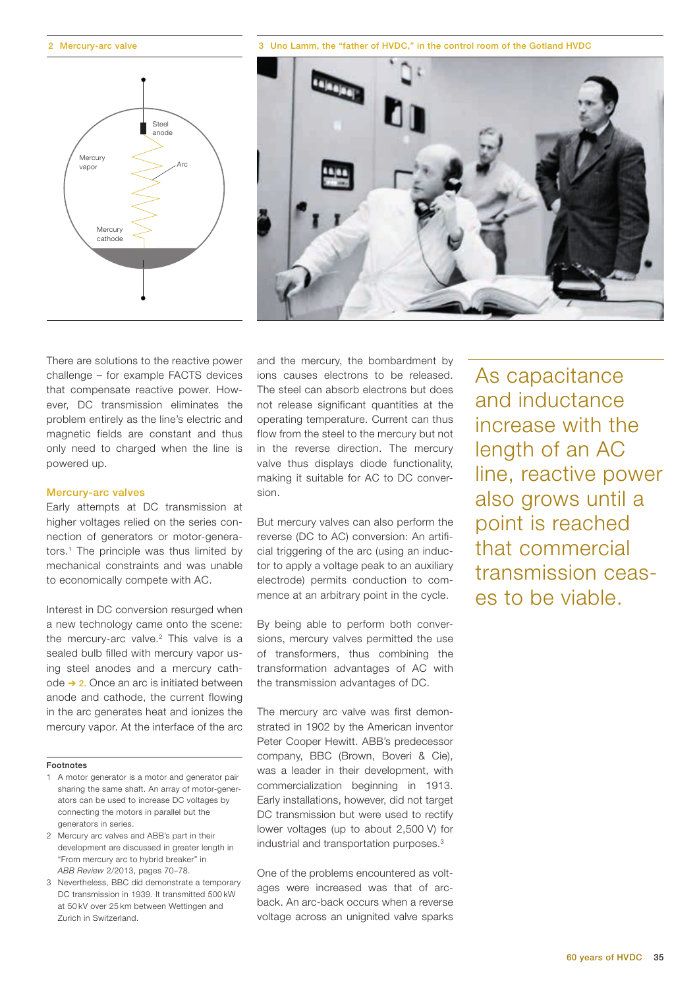2 Mercury-arc valve



3 Uno Lamm, the "father of HVDC," in the control room of the Gotland HVDC



There are solutions to the reactive power challenge – for example FACTS devices that compensate reactive power. However, DC transmission eliminates the problem entirely as the line's electric and magnetic fields are constant and thus only need to charged when the line is powered up.

#### Mercury-arc valves

Early attempts at DC transmission at higher voltages relied on the series connection of generators or motor-generators.1 The principle was thus limited by mechanical constraints and was unable to economically compete with AC.

Interest in DC conversion resurged when a new technology came onto the scene: the mercury-arc valve.<sup>2</sup> This valve is a sealed bulb filled with mercury vapor using steel anodes and a mercury cathode ➔ 2. Once an arc is initiated between anode and cathode, the current flowing in the arc generates heat and ionizes the mercury vapor. At the interface of the arc

#### Footnotes

- 1 A motor generator is a motor and generator pair sharing the same shaft. An array of motor-generators can be used to increase DC voltages by connecting the motors in parallel but the generators in series.
- 2 Mercury arc valves and ABB's part in their development are discussed in greater length in "From mercury arc to hybrid breaker" in *ABB Review* 2/2013, pages 70–78.
- 3 Nevertheless, BBC did demonstrate a temporary DC transmission in 1939. It transmitted 500 kW at 50 kV over 25 km between Wettingen and Zurich in Switzerland.

and the mercury, the bombardment by ions causes electrons to be released. The steel can absorb electrons but does not release significant quantities at the operating temperature. Current can thus flow from the steel to the mercury but not in the reverse direction. The mercury valve thus displays diode functionality, making it suitable for AC to DC conversion.

But mercury valves can also perform the reverse (DC to AC) conversion: An artificial triggering of the arc (using an inductor to apply a voltage peak to an auxiliary electrode) permits conduction to commence at an arbitrary point in the cycle.

By being able to perform both conversions, mercury valves permitted the use of transformers, thus combining the transformation advantages of AC with the transmission advantages of DC.

The mercury arc valve was first demonstrated in 1902 by the American inventor Peter Cooper Hewitt. ABB's predecessor company, BBC (Brown, Boveri & Cie), was a leader in their development, with commercialization beginning in 1913. Early installations, however, did not target DC transmission but were used to rectify lower voltages (up to about 2,500 V) for industrial and transportation purposes.3

One of the problems encountered as voltages were increased was that of arcback. An arc-back occurs when a reverse voltage across an unignited valve sparks As capacitance and inductance increase with the length of an AC line, reactive power also grows until a point is reached that commercial transmission ceases to be viable.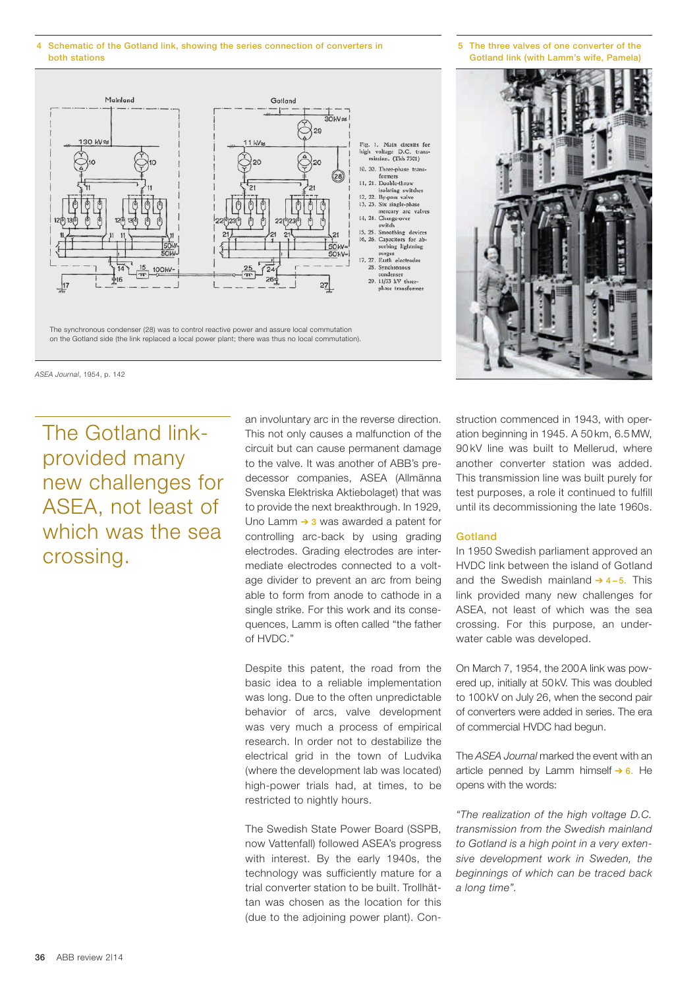4 Schematic of the Gotland link, showing the series connection of converters in both stations



The synchronous condenser (28) was to control reactive power and assure local commutation on the Gotland side (the link replaced a local power plant; there was thus no local commutation).

The three valves of one converter of the Gotland link (with Lamm's wife, Pamela)



The Gotland linkprovided many new challenges for ASEA, not least of which was the sea crossing.

an involuntary arc in the reverse direction. This not only causes a malfunction of the circuit but can cause permanent damage to the valve. It was another of ABB's predecessor companies, ASEA (Allmänna Svenska Elektriska Aktiebolaget) that was to provide the next breakthrough. In 1929, Uno Lamm  $\rightarrow$  3 was awarded a patent for controlling arc-back by using grading electrodes. Grading electrodes are intermediate electrodes connected to a voltage divider to prevent an arc from being able to form from anode to cathode in a single strike. For this work and its consequences, Lamm is often called "the father of HVDC."

Despite this patent, the road from the basic idea to a reliable implementation was long. Due to the often unpredictable behavior of arcs, valve development was very much a process of empirical research. In order not to destabilize the electrical grid in the town of Ludvika (where the development lab was located) high-power trials had, at times, to be restricted to nightly hours.

The Swedish State Power Board (SSPB, now Vattenfall) followed ASEA's progress with interest. By the early 1940s, the technology was sufficiently mature for a trial converter station to be built. Trollhättan was chosen as the location for this (due to the adjoining power plant). Con-

struction commenced in 1943, with operation beginning in 1945. A 50 km, 6.5 MW, 90 kV line was built to Mellerud, where another converter station was added. This transmission line was built purely for test purposes, a role it continued to fulfill until its decommissioning the late 1960s.

#### **Gotland**

In 1950 Swedish parliament approved an HVDC link between the island of Gotland and the Swedish mainland  $\rightarrow$  4-5. This link provided many new challenges for ASEA, not least of which was the sea crossing. For this purpose, an underwater cable was developed.

On March 7, 1954, the 200A link was powered up, initially at 50kV. This was doubled to 100kV on July 26, when the second pair of converters were added in series. The era of commercial HVDC had begun.

The *ASEA Journal* marked the event with an article penned by Lamm himself  $\rightarrow$  6. He opens with the words:

*"The realization of the high voltage D.C. transmission from the Swedish mainland to Gotland is a high point in a very extensive development work in Sweden, the beginnings of which can be traced back a long time".*

*ASEA Journal*, 1954, p. 142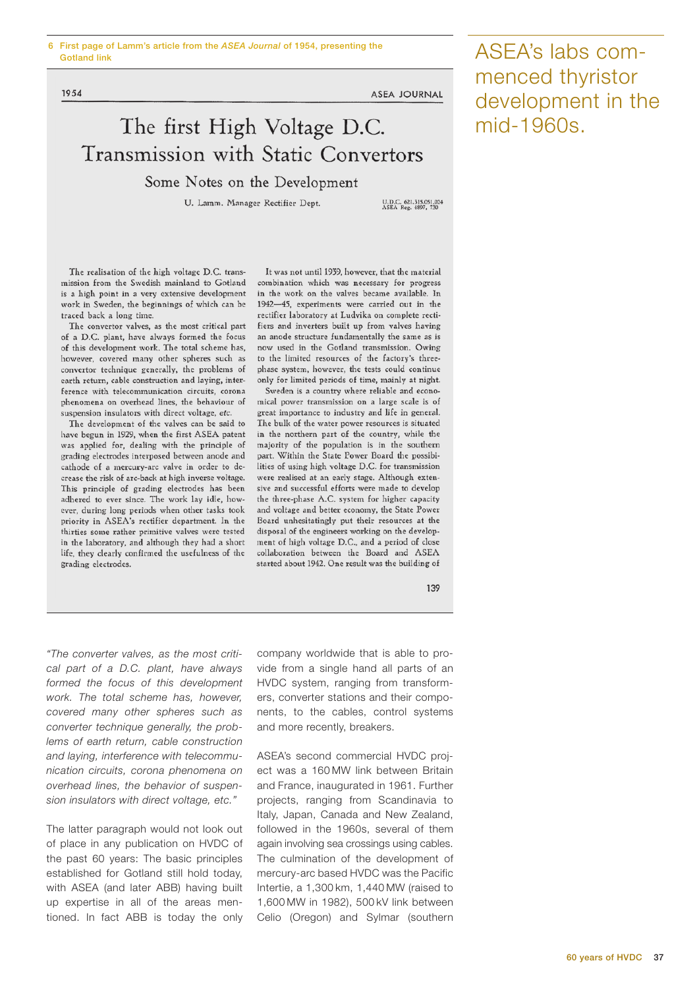1954

**ASEA JOURNAL** 

# The first High Voltage D.C. Transmission with Static Convertors

Some Notes on the Development

U. Lamm. Manager Rectifier Dept.

U.D.C. 621.315.051.024<br>ASEA Reg. 4897, 730

The realisation of the high voltage D.C. transmission from the Swedish mainland to Gotland is a high point in a very extensive development work in Sweden, the beginnings of which can be traced back a long time.

The convertor valves, as the most critical part of a D.C. plant, have always formed the focus of this development work. The total scheme has, however, covered many other spheres such as convertor technique generally, the problems of earth return, cable construction and laying, interference with telecommunication circuits, corona phenomena on overhead lines, the behaviour of suspension insulators with direct voltage, etc.

The development of the valves can be said to have begun in 1929, when the first ASEA patent was applied for, dealing with the principle of grading electrodes interposed between anode and cathode of a mercury-arc valve in order to decrease the risk of arc-back at high inverse voltage. This principle of grading electrodes has been adhered to ever since. The work lay idle, however, during long periods when other tasks took priority in ASEA's rectifier department. In the thirties some rather primitive valves were tested in the laboratory, and although they had a short life, they clearly confirmed the usefulness of the grading electrodes.

It was not until 1939, however, that the material combination which was necessary for progress in the work on the valves became available. In 1942-45, experiments were carried out in the rectifier laboratory at Ludvika on complete rectifiers and inverters built up from valves having an anode structure fundamentally the same as is now used in the Gotland transmission. Owing to the limited resources of the factory's threephase system, however, the tests could continue only for limited periods of time, mainly at night.

Sweden is a country where reliable and economical power transmission on a large scale is of great importance to industry and life in general. The bulk of the water power resources is situated in the northern part of the country, while the majority of the population is in the southern part. Within the State Power Board the possibilities of using high voltage D.C. for transmission were realised at an early stage. Although extensive and successful efforts were made to develop the three-phase A.C. system for higher capacity and voltage and better economy, the State Power Board unhesitatingly put their resources at the disposal of the engineers working on the development of high voltage D.C., and a period of close collaboration between the Board and ASEA started about 1942. One result was the building of

139

*"The converter valves, as the most critical part of a D.C. plant, have always formed the focus of this development work. The total scheme has, however, covered many other spheres such as converter technique generally, the problems of earth return, cable construction and laying, interference with telecommunication circuits, corona phenomena on overhead lines, the behavior of suspension insulators with direct voltage, etc."*

The latter paragraph would not look out of place in any publication on HVDC of the past 60 years: The basic principles established for Gotland still hold today, with ASEA (and later ABB) having built up expertise in all of the areas mentioned. In fact ABB is today the only

company worldwide that is able to provide from a single hand all parts of an HVDC system, ranging from transformers, converter stations and their components, to the cables, control systems and more recently, breakers.

ASEA's second commercial HVDC project was a 160 MW link between Britain and France, inaugurated in 1961. Further projects, ranging from Scandinavia to Italy, Japan, Canada and New Zealand, followed in the 1960s, several of them again involving sea crossings using cables. The culmination of the development of mercury-arc based HVDC was the Pacific Intertie, a 1,300 km, 1,440 MW (raised to 1,600 MW in 1982), 500 kV link between Celio (Oregon) and Sylmar (southern menced thyristor development in the mid-1960s.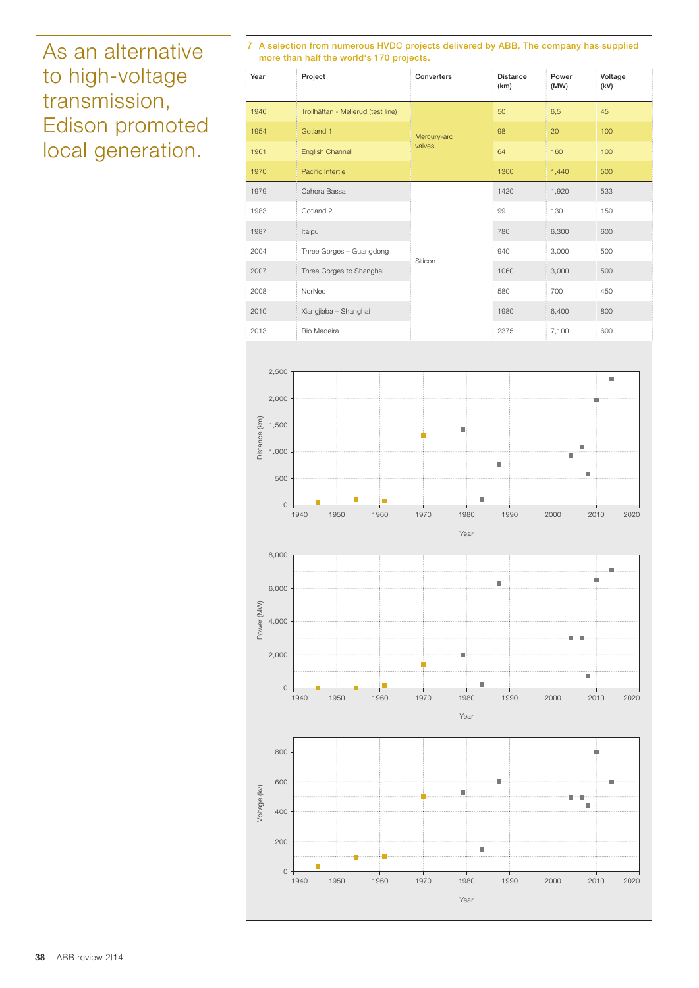## As an alternative to high-voltage transmission, Edison promoted local generation.

7 A selection from numerous HVDC projects delivered by ABB. The company has supplied more than half the world's 170 projects.

| Year | Project                            | Converters            | <b>Distance</b><br>(km) | Power<br>(MW) | Voltage<br>(kV) |
|------|------------------------------------|-----------------------|-------------------------|---------------|-----------------|
| 1946 | Trollhättan - Mellerud (test line) | Mercury-arc<br>valves | 50                      | 6,5           | 45              |
| 1954 | Gotland 1                          |                       | 98                      | 20            | 100             |
| 1961 | English Channel                    |                       | 64                      | 160           | 100             |
| 1970 | Pacific Intertie                   |                       | 1300                    | 1,440         | 500             |
| 1979 | Cahora Bassa                       | Silicon               | 1420                    | 1,920         | 533             |
| 1983 | Gotland 2                          |                       | 99                      | 130           | 150             |
| 1987 | Itaipu                             |                       | 780                     | 6,300         | 600             |
| 2004 | Three Gorges - Guangdong           |                       | 940                     | 3,000         | 500             |
| 2007 | Three Gorges to Shanghai           |                       | 1060                    | 3,000         | 500             |
| 2008 | NorNed                             |                       | 580                     | 700           | 450             |
| 2010 | Xiangjiaba - Shanghai              |                       | 1980                    | 6,400         | 800             |
| 2013 | Rio Madeira                        |                       | 2375                    | 7,100         | 600             |





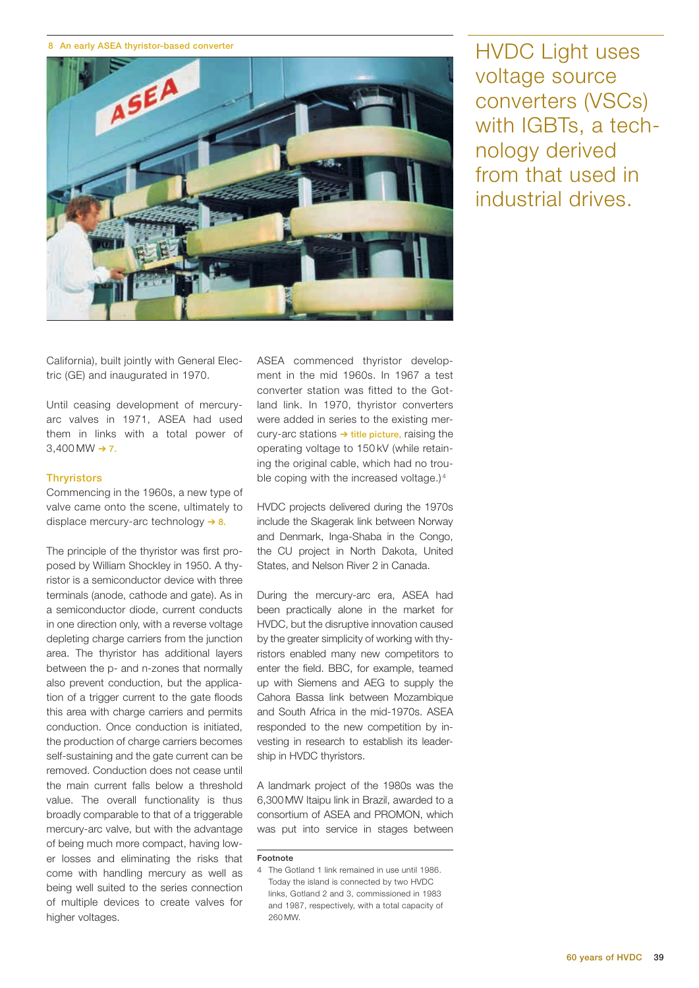#### 8 An early ASEA thyristor-based converter



HVDC Light uses voltage source converters (VSCs) with IGBTs, a technology derived from that used in industrial drives.

California), built jointly with General Electric (GE) and inaugurated in 1970.

Until ceasing development of mercuryarc valves in 1971, ASEA had used them in links with a total power of  $3,400$  MW  $\rightarrow$  7.

#### **Thryristors**

Commencing in the 1960s, a new type of valve came onto the scene, ultimately to displace mercury-arc technology  $\rightarrow$  8.

The principle of the thyristor was first proposed by William Shockley in 1950. A thyristor is a semiconductor device with three terminals (anode, cathode and gate). As in a semiconductor diode, current conducts in one direction only, with a reverse voltage depleting charge carriers from the junction area. The thyristor has additional layers between the p- and n-zones that normally also prevent conduction, but the application of a trigger current to the gate floods this area with charge carriers and permits conduction. Once conduction is initiated, the production of charge carriers becomes self-sustaining and the gate current can be removed. Conduction does not cease until the main current falls below a threshold value. The overall functionality is thus broadly comparable to that of a triggerable mercury-arc valve, but with the advantage of being much more compact, having lower losses and eliminating the risks that come with handling mercury as well as being well suited to the series connection of multiple devices to create valves for higher voltages.

ASEA commenced thyristor development in the mid 1960s. In 1967 a test converter station was fitted to the Gotland link. In 1970, thyristor converters were added in series to the existing mercury-arc stations ➔ title picture, raising the operating voltage to 150 kV (while retaining the original cable, which had no trouble coping with the increased voltage.) <sup>4</sup>

HVDC projects delivered during the 1970s include the Skagerak link between Norway and Denmark, Inga-Shaba in the Congo, the CU project in North Dakota, United States, and Nelson River 2 in Canada.

During the mercury-arc era, ASEA had been practically alone in the market for HVDC, but the disruptive innovation caused by the greater simplicity of working with thyristors enabled many new competitors to enter the field. BBC, for example, teamed up with Siemens and AEG to supply the Cahora Bassa link between Mozambique and South Africa in the mid-1970s. ASEA responded to the new competition by investing in research to establish its leadership in HVDC thyristors.

A landmark project of the 1980s was the 6,300MW Itaipu link in Brazil, awarded to a consortium of ASEA and PROMON, which was put into service in stages between

#### Footnote

<sup>4</sup> The Gotland 1 link remained in use until 1986. Today the island is connected by two HVDC links, Gotland 2 and 3, commissioned in 1983 and 1987, respectively, with a total capacity of 260 MW.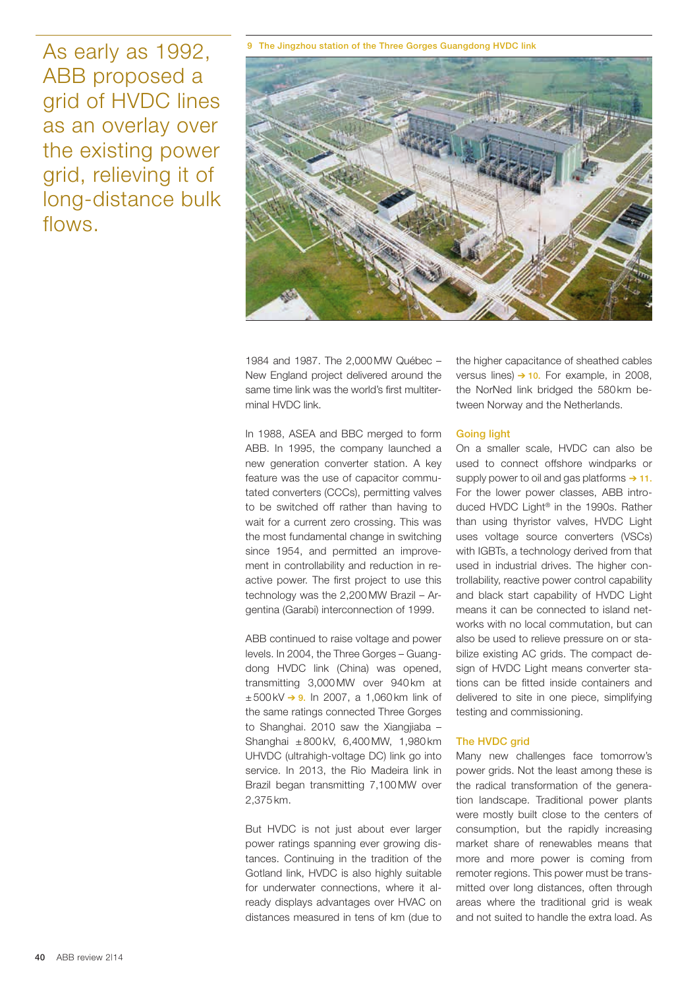As early as 1992, ABB proposed a grid of HVDC lines as an overlay over the existing power grid, relieving it of long-distance bulk flows.



1984 and 1987. The 2,000MW Québec – New England project delivered around the same time link was the world's first multiterminal HVDC link.

In 1988, ASEA and BBC merged to form ABB. In 1995, the company launched a new generation converter station. A key feature was the use of capacitor commutated converters (CCCs), permitting valves to be switched off rather than having to wait for a current zero crossing. This was the most fundamental change in switching since 1954, and permitted an improvement in controllability and reduction in reactive power. The first project to use this technology was the 2,200 MW Brazil – Argentina (Garabi) interconnection of 1999.

ABB continued to raise voltage and power levels. In 2004, the Three Gorges – Guangdong HVDC link (China) was opened, transmitting 3,000 MW over 940 km at ±500 kV → 9. In 2007, a 1,060 km link of the same ratings connected Three Gorges to Shanghai, 2010 saw the Xiangijaba -Shanghai ±800 kV, 6,400 MW, 1,980 km UHVDC (ultrahigh-voltage DC) link go into service. In 2013, the Rio Madeira link in Brazil began transmitting 7,100 MW over 2,375 km.

But HVDC is not just about ever larger power ratings spanning ever growing distances. Continuing in the tradition of the Gotland link, HVDC is also highly suitable for underwater connections, where it already displays advantages over HVAC on distances measured in tens of km (due to the higher capacitance of sheathed cables versus lines)  $\rightarrow$  10. For example, in 2008, the NorNed link bridged the 580 km between Norway and the Netherlands.

#### Going light

On a smaller scale, HVDC can also be used to connect offshore windparks or supply power to oil and gas platforms  $\rightarrow$  11. For the lower power classes, ABB introduced HVDC Light® in the 1990s. Rather than using thyristor valves, HVDC Light uses voltage source converters (VSCs) with IGBTs, a technology derived from that used in industrial drives. The higher controllability, reactive power control capability and black start capability of HVDC Light means it can be connected to island networks with no local commutation, but can also be used to relieve pressure on or stabilize existing AC grids. The compact design of HVDC Light means converter stations can be fitted inside containers and delivered to site in one piece, simplifying testing and commissioning.

#### The HVDC grid

Many new challenges face tomorrow's power grids. Not the least among these is the radical transformation of the generation landscape. Traditional power plants were mostly built close to the centers of consumption, but the rapidly increasing market share of renewables means that more and more power is coming from remoter regions. This power must be transmitted over long distances, often through areas where the traditional grid is weak and not suited to handle the extra load. As